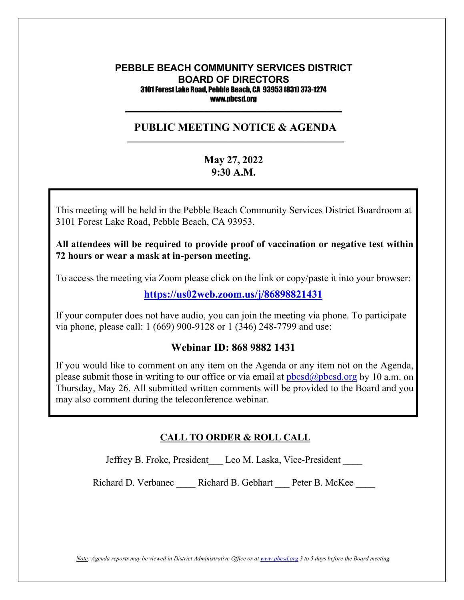#### **PEBBLE BEACH COMMUNITY SERVICES DISTRICT BOARD OF DIRECTORS** 3101 Forest Lake Road, Pebble Beach, CA 93953 (831) 373-1274 www.pbcsd.org  $\frac{1}{2}$  ,  $\frac{1}{2}$  ,  $\frac{1}{2}$  ,  $\frac{1}{2}$  ,  $\frac{1}{2}$  ,  $\frac{1}{2}$  ,  $\frac{1}{2}$  ,  $\frac{1}{2}$  ,  $\frac{1}{2}$  ,  $\frac{1}{2}$  ,  $\frac{1}{2}$  ,  $\frac{1}{2}$  ,  $\frac{1}{2}$  ,  $\frac{1}{2}$  ,  $\frac{1}{2}$  ,  $\frac{1}{2}$  ,  $\frac{1}{2}$  ,  $\frac{1}{2}$  ,  $\frac{1$

#### **PUBLIC MEETING NOTICE & AGENDA \_\_\_\_\_\_\_\_\_\_\_\_\_\_\_\_\_\_\_\_\_\_\_\_\_\_\_\_\_\_\_\_\_\_\_\_\_\_\_\_\_\_\_\_\_\_\_\_\_\_\_\_\_\_\_\_\_\_\_**

# **May 27, 2022 9:30 A.M.**

 $C = \frac{1}{2}$  Pandemic and  $C = \frac{1}{2}$  **C**  $C = \frac{1}{2}$ 3101 Forest Lake Road, Pebble Beach, CA 93953. This meeting will be held in the Pebble Beach Community Services District Boardroom at

to keep the public safe, Pebble Beach Community District (PBCSD) will conduct its All attendees will be required to provide proof of vaccination or negative test within  $\tilde{a}$ **72 hours or wear a mask at in-person meeting.**

Access information will be provided in the final agenda at least three days prior to the final agenda at least three days prior to the final agenda at least three days prior to the final agenda at least three days prior t To access the meeting via Zoom please click on the link or copy/paste it into your browser:

**<https://us02web.zoom.us/j/86898821431>**

If your computer does not have audio, you can join the meeting via phone. To participate via phone, please call: 1 (669) 900-9128 or 1 (346) 248-7799 and use:

## **Webinar ID: 868 9882 1431**

If you would like to comment on any item on the Agenda or any item not on the Agenda, please submit those in writing to our office or via email at  $pbcsd(\omega pbcsd.org$  by 10 a.m. on Thursday, May 26. All submitted written comments will be provided to the Board and you may also comment during the teleconference webinar.

## **CALL TO ORDER & ROLL CALL**

Jeffrey B. Froke, President Leo M. Laska, Vice-President

Richard D. Verbanec \_\_\_\_ Richard B. Gebhart \_\_\_ Peter B. McKee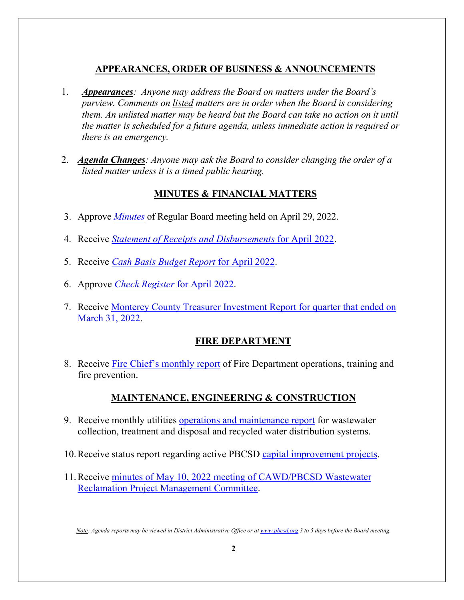# **APPEARANCES, ORDER OF BUSINESS & ANNOUNCEMENTS**

- 1. *Appearances: Anyone may address the Board on matters under the Board's purview. Comments on listed matters are in order when the Board is considering them. An unlisted matter may be heard but the Board can take no action on it until the matter is scheduled for a future agenda, unless immediate action is required or there is an emergency.*
- 2. *Agenda Changes: Anyone may ask the Board to consider changing the order of a listed matter unless it is a timed public hearing.*

# **MINUTES & FINANCIAL MATTERS**

- 3. Approve *[Minutes](https://pbcsd.org/wp-content/uploads/2022/05/03.-PBCSD-Draft-minutes-for-April-29-2022-Board-Meeting.pdf)* of Regular Board meeting held on April 29, 2022.
- 4. Receive *[Statement of Receipts and Disbursements](https://pbcsd.org/wp-content/uploads/2022/05/04.-Statement-of-Receipts-Disbursements-for-April-2022.pdf)* for April 2022.
- 5. Receive *[Cash Basis Budget Report](https://pbcsd.org/wp-content/uploads/2022/05/05.-Cash-Basis-Budget-Report-for-April-2022.pdf)* for April 2022.
- 6. Approve *[Check Register](https://pbcsd.org/wp-content/uploads/2022/05/06.-Check-Register-for-April-2022.pdf)* for April 2022.
- 7. Receive [Monterey County Treasurer Investment Report for quarter that ended](https://pbcsd.org/wp-content/uploads/2022/05/07.-Monterey-County-Treasurer-Investment-Report-for-Quarter-ended-Mar.-31-2022.pdf) on [March 31, 2022.](https://pbcsd.org/wp-content/uploads/2022/05/07.-Monterey-County-Treasurer-Investment-Report-for-Quarter-ended-Mar.-31-2022.pdf)

## **FIRE DEPARTMENT**

8. Receive [Fire Chief's monthly report](https://pbcsd.org/wp-content/uploads/2022/05/08.-Fire-Chiefs-Monthly-Report.pdf) of Fire Department operations, training and fire prevention.

# **MAINTENANCE, ENGINEERING & CONSTRUCTION**

- 9. Receive monthly utilities [operations and maintenance report](https://pbcsd.org/wp-content/uploads/2022/05/09.-Operations-Maintenance-Report.pdf) for wastewater collection, treatment and disposal and recycled water distribution systems.
- 10.Receive status report regarding active PBCSD [capital improvement projects.](https://pbcsd.org/wp-content/uploads/2022/05/10.-Capital-Improvements-Projects-Report.pdf)
- 11.Receive [minutes of May 10, 2022 meeting of CAWD/PBCSD Wastewater](https://pbcsd.org/wp-content/uploads/2022/05/11.-RMC-Meeting-Minutes-from-May-10-2022.pdf)  [Reclamation Project Management Committee.](https://pbcsd.org/wp-content/uploads/2022/05/11.-RMC-Meeting-Minutes-from-May-10-2022.pdf)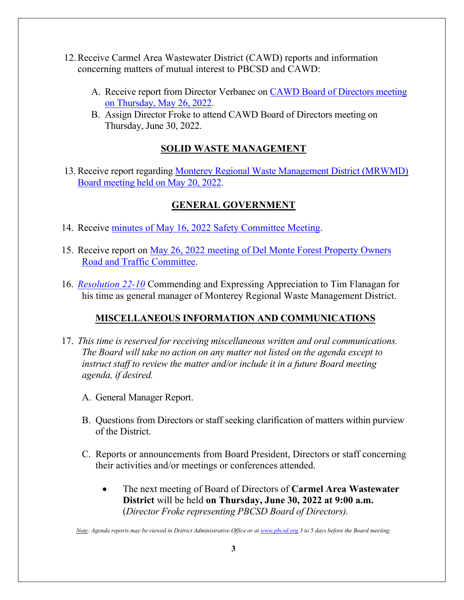- 12.Receive Carmel Area Wastewater District (CAWD) reports and information concerning matters of mutual interest to PBCSD and CAWD:
	- A. Receive report from Director Verbanec on [CAWD Board of Directors meeting](https://pbcsd.org/wp-content/uploads/2022/05/12.-CAWD-Board-Agenda-Packet-for-May-26-2022-Meeting.pdf)  on [Thursday, May](https://pbcsd.org/wp-content/uploads/2022/05/12.-CAWD-Board-Agenda-Packet-for-May-26-2022-Meeting.pdf) 26, 2022.
	- B. Assign Director Froke to attend CAWD Board of Directors meeting on Thursday, June 30, 2022.

# **SOLID WASTE MANAGEMENT**

13.Receive report regarding [Monterey Regional Waste Management District](https://pbcsd.org/wp-content/uploads/2022/05/13.-MRWMD-Board-Meeting-Agenda-GM-Report-for-May-20-2022.pdf) (MRWMD) [Board meeting](https://pbcsd.org/wp-content/uploads/2022/05/13.-MRWMD-Board-Meeting-Agenda-GM-Report-for-May-20-2022.pdf) held on May 20, 2022.

# **GENERAL GOVERNMENT**

- 14. Receive [minutes of May 16, 2022 Safety Committee Meeting.](https://pbcsd.org/wp-content/uploads/2022/05/14.-Safety-Committee-Meeting-Minutes-for-May-16-2022.pdf)
- 15. Receive report on May 26, 2022 meeting of Del Monte Forest Property Owners [Road and Traffic Committee.](https://pbcsd.org/wp-content/uploads/2022/05/15.-DMFPO-Roads-Traffic-Committee-Meeting-Agenda-Packet-for-May-26-2022.pdf)
- 16. *[Resolution 22-10](https://pbcsd.org/wp-content/uploads/2022/05/16.-RES-22-10-Commending-and-Expressing-Appreciation-to-Tim-Flanagan-for-his-time-as-GM-of-MRWMD.pdf)* Commending and Expressing Appreciation to Tim Flanagan for his time as general manager of Monterey Regional Waste Management District.

## **MISCELLANEOUS INFORMATION AND COMMUNICATIONS**

- 17. *This time is reserved for receiving miscellaneous written and oral communications. The Board will take no action on any matter not listed on the agenda except to instruct staff to review the matter and/or include it in a future Board meeting agenda, if desired.*
	- A. General Manager Report.
	- B. Questions from Directors or staff seeking clarification of matters within purview of the District.
	- C. Reports or announcements from Board President, Directors or staff concerning their activities and/or meetings or conferences attended.
		- The next meeting of Board of Directors of **Carmel Area Wastewater District** will be held **on Thursday, June 30, 2022 at 9:00 a.m.** (*Director Froke representing PBCSD Board of Directors).*